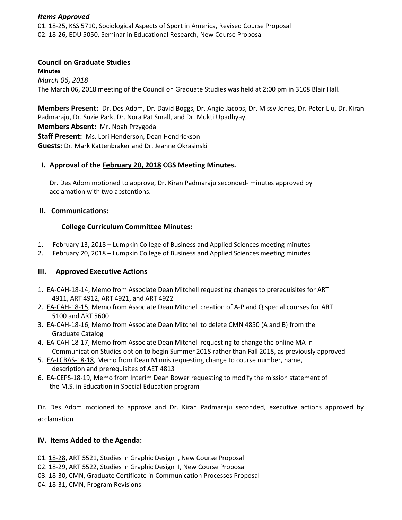### *Items Approved*

01. [18-25,](http://castle.eiu.edu/eiucgs/currentagendaitems/agenda18-25.pdf) KSS 5710, Sociological Aspects of Sport in America, Revised Course Proposal 02. [18-26,](http://castle.eiu.edu/eiucgs/currentagendaitems/agenda18-26.pdf) EDU 5050, Seminar in Educational Research, New Course Proposal

### **Council on Graduate Studies**

**Minutes** *March 06, 2018* The March 06, 2018 meeting of the Council on Graduate Studies was held at 2:00 pm in 3108 Blair Hall.

**Members Present:** Dr. Des Adom, Dr. David Boggs, Dr. Angie Jacobs, Dr. Missy Jones, Dr. Peter Liu, Dr. Kiran Padmaraju, Dr. Suzie Park, Dr. Nora Pat Small, and Dr. Mukti Upadhyay, **Members Absent:** Mr. Noah Przygoda **Staff Present:** Ms. Lori Henderson, Dean Hendrickson **Guests:** Dr. Mark Kattenbraker and Dr. Jeanne Okrasinski

### **I. Approval of the [February 20, 2018](http://castle.eiu.edu/eiucgs/currentminutes/Minutes2-20-18.pdf) CGS Meeting [Minutes.](http://castle.eiu.edu/eiucgs/currentminutes/Minutes02-16-16.pdf)**

Dr. Des Adom motioned to approve, Dr. Kiran Padmaraju seconded- minutes approved by acclamation with two abstentions.

### **II. Communications:**

## **College Curriculum Committee Minutes:**

- 1. February 13, 2018 Lumpkin College of Business and Applied Sciences meeting [minutes](http://www.eiu.edu/~lumpkin/Curriculum/lcbascurrmin20180213.pdf)
- 2. February 20, 2018 Lumpkin College of Business and Applied Sciences meeting [minutes](http://www.eiu.edu/~lumpkin/Curriculum/lcbascurrmin20180220.pdf)

## **III. Approved Executive Actions**

- 1**.** [EA-CAH-18-14,](http://castle.eiu.edu/~eiucgs/exec-actions/EA-CAH-18-14.pdf) Memo from Associate Dean Mitchell requesting changes to prerequisites for ART 4911, ART 4912, ART 4921, and ART 4922
- 2. [EA-CAH-18-15,](http://castle.eiu.edu/~eiucgs/exec-actions/EA-CAH-18-15.pdf) Memo from Associate Dean Mitchell creation of A-P and Q special courses for ART 5100 and ART 5600
- 3. [EA-CAH-18-16,](http://castle.eiu.edu/~eiucgs/exec-actions/EA-CAH-18-16.pdf) Memo from Associate Dean Mitchell to delete CMN 4850 (A and B) from the Graduate Catalog
- 4. [EA-CAH-18-17,](http://castle.eiu.edu/~eiucgs/exec-actions/EA-CAH-18-17.pdf) Memo from Associate Dean Mitchell requesting to change the online MA in Communication Studies option to begin Summer 2018 rather than Fall 2018, as previously approved
- 5. [EA-LCBAS-18-18,](http://castle.eiu.edu/~eiucgs/exec-actions/EA-LCBAS-18-18.pdf) Memo from Dean Minnis requesting change to course number, name, description and prerequisites of AET 4813
- 6. [EA-CEPS-18-19,](http://castle.eiu.edu/~eiucgs/exec-actions/EA-CEPS-18-19.pdf) Memo from Interim Dean Bower requesting to modify the mission statement of the M.S. in Education in Special Education program

Dr. Des Adom motioned to approve and Dr. Kiran Padmaraju seconded, executive actions approved by acclamation

## **IV. Items Added to the Agenda:**

- 01. [18-28,](http://castle.eiu.edu/eiucgs/currentagendaitems/agenda18-28.pdf) ART 5521, Studies in Graphic Design I, New Course Proposal
- 02. [18-29,](http://castle.eiu.edu/eiucgs/currentagendaitems/agenda18-29.pdf) ART 5522, Studies in Graphic Design II, New Course Proposal
- 03. [18-30,](http://castle.eiu.edu/eiucgs/currentagendaitems/agenda18-30.pdf) CMN, Graduate Certificate in Communication Processes Proposal
- 04. [18-31,](http://castle.eiu.edu/eiucgs/currentagendaitems/agenda18-31.pdf) CMN, Program Revisions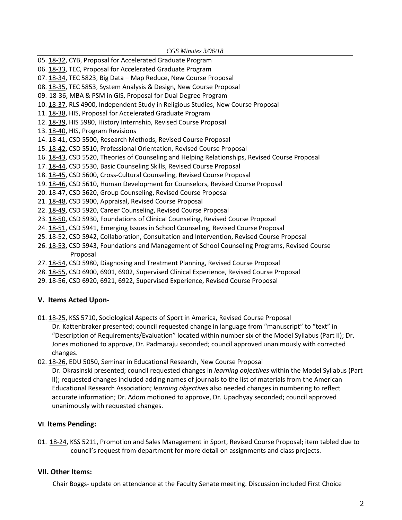- 05. [18-32,](http://castle.eiu.edu/eiucgs/currentagendaitems/agenda18-32.pdf) CYB, Proposal for Accelerated Graduate Program 06. [18-33,](http://castle.eiu.edu/eiucgs/currentagendaitems/agenda18-33.pdf) TEC, Proposal for Accelerated Graduate Program
- 
- 07. [18-34,](http://castle.eiu.edu/eiucgs/currentagendaitems/agenda18-34.pdf) TEC 5823, Big Data Map Reduce, New Course Proposal
- 08. [18-35,](http://castle.eiu.edu/eiucgs/currentagendaitems/agenda18-35.pdf) TEC 5853, System Analysis & Design, New Course Proposal
- 09. [18-36,](http://castle.eiu.edu/eiucgs/currentagendaitems/agenda18-36.pdf) MBA & PSM in GIS, Proposal for Dual Degree Program
- 10. [18-37,](http://castle.eiu.edu/eiucgs/currentagendaitems/agenda18-37.pdf) RLS 4900, Independent Study in Religious Studies, New Course Proposal
- 11. [18-38,](http://castle.eiu.edu/eiucgs/currentagendaitems/agenda18-38.pdf) HIS, Proposal for Accelerated Graduate Program
- 12. [18-39,](http://castle.eiu.edu/eiucgs/currentagendaitems/agenda18-39.pdf) HIS 5980, History Internship, Revised Course Proposal
- 13. [18-40,](http://castle.eiu.edu/eiucgs/currentagendaitems/agenda18-40.pdf) HIS, Program Revisions
- 14. [18-41,](http://castle.eiu.edu/eiucgs/currentagendaitems/agenda18-41.pdf) CSD 5500, Research Methods, Revised Course Proposal
- 15. [18-42,](http://castle.eiu.edu/eiucgs/currentagendaitems/agenda18-42.pdf) CSD 5510, Professional Orientation, Revised Course Proposal
- 16. [18-43,](http://castle.eiu.edu/eiucgs/currentagendaitems/agenda18-43.pdf) CSD 5520, Theories of Counseling and Helping Relationships, Revised Course Proposal
- 17. [18-44,](http://castle.eiu.edu/eiucgs/currentagendaitems/agenda18-44.pdf) CSD 5530, Basic Counseling Skills, Revised Course Proposal
- 18. [18-45,](http://castle.eiu.edu/eiucgs/currentagendaitems/agenda18-45.pdf) CSD 5600, Cross-Cultural Counseling, Revised Course Proposal
- 19. [18-46,](http://castle.eiu.edu/eiucgs/currentagendaitems/agenda18-46.pdf) CSD 5610, Human Development for Counselors, Revised Course Proposal
- 20. [18-47,](http://castle.eiu.edu/eiucgs/currentagendaitems/agenda18-47.pdf) CSD 5620, Group Counseling, Revised Course Proposal
- 21. [18-48,](http://castle.eiu.edu/eiucgs/currentagendaitems/agenda18-48.pdf) CSD 5900, Appraisal, Revised Course Proposal
- 22. [18-49,](http://castle.eiu.edu/eiucgs/currentagendaitems/agenda18-49.pdf) CSD 5920, Career Counseling, Revised Course Proposal
- 23. [18-50,](http://castle.eiu.edu/eiucgs/currentagendaitems/agenda18-50.pdf) CSD 5930, Foundations of Clinical Counseling, Revised Course Proposal
- 24. [18-51,](http://castle.eiu.edu/eiucgs/currentagendaitems/agenda18-51.pdf) CSD 5941, Emerging Issues in School Counseling, Revised Course Proposal
- 25. [18-52,](http://castle.eiu.edu/eiucgs/currentagendaitems/agenda18-52.pdf) CSD 5942, Collaboration, Consultation and Intervention, Revised Course Proposal
- 26. [18-53,](http://castle.eiu.edu/eiucgs/currentagendaitems/agenda18-53.pdf) CSD 5943, Foundations and Management of School Counseling Programs, Revised Course Proposal
- 27. [18-54,](http://castle.eiu.edu/eiucgs/currentagendaitems/agenda18-54.pdf) CSD 5980, Diagnosing and Treatment Planning, Revised Course Proposal
- 28. [18-55,](http://castle.eiu.edu/eiucgs/currentagendaitems/agenda18-55.pdf) CSD 6900, 6901, 6902, Supervised Clinical Experience, Revised Course Proposal
- 29. [18-56,](http://castle.eiu.edu/eiucgs/currentagendaitems/agenda18-56.pdf) CSD 6920, 6921, 6922, Supervised Experience, Revised Course Proposal

# **V. Items Acted Upon-**

01. [18-25,](http://castle.eiu.edu/eiucgs/currentagendaitems/agenda18-25.pdf) KSS 5710, Sociological Aspects of Sport in America, Revised Course Proposal

Dr. Kattenbraker presented; council requested change in language from "manuscript" to "text" in "Description of Requirements/Evaluation" located within number six of the Model Syllabus (Part II); Dr. Jones motioned to approve, Dr. Padmaraju seconded; council approved unanimously with corrected changes.

02. [18-26,](http://castle.eiu.edu/eiucgs/currentagendaitems/agenda18-26.pdf) EDU 5050, Seminar in Educational Research, New Course Proposal

Dr. Okrasinski presented; council requested changes in *learning objectives* within the Model Syllabus (Part II); requested changes included adding names of journals to the list of materials from the American Educational Research Association; *learning objectives* also needed changes in numbering to reflect accurate information; Dr. Adom motioned to approve, Dr. Upadhyay seconded; council approved unanimously with requested changes.

# **VI**. **Items Pending:**

01. [18-24,](http://castle.eiu.edu/eiucgs/currentagendaitems/agenda18-24.pdf) KSS 5211, Promotion and Sales Management in Sport, Revised Course Proposal; item tabled due to council's request from department for more detail on assignments and class projects.

# **VII. Other Items:**

Chair Boggs- update on attendance at the Faculty Senate meeting. Discussion included First Choice